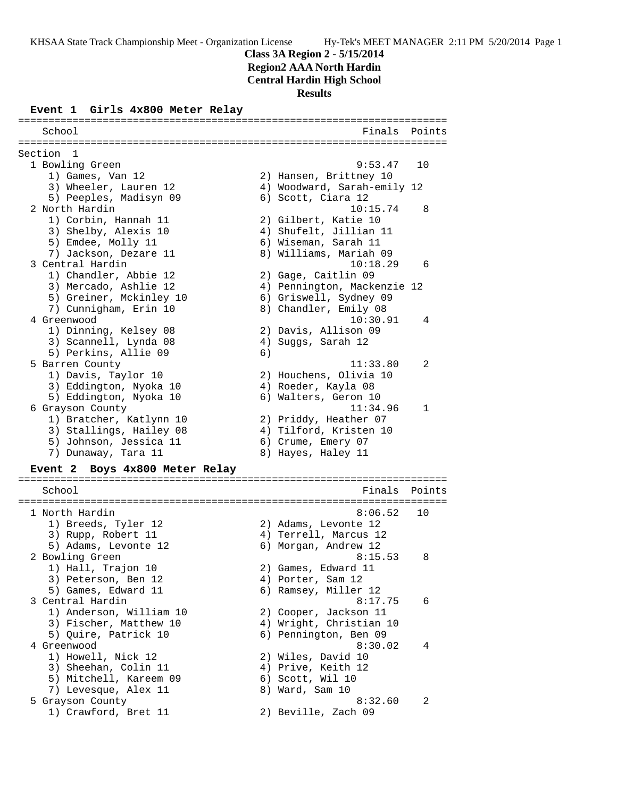**Class 3A Region 2 - 5/15/2014**

**Region2 AAA North Hardin**

**Central Hardin High School**

**Results**

### **Event 1 Girls 4x800 Meter Relay**

======================================================================= School **Finals** Points ======================================================================= Section 1 1 Bowling Green 9:53.47 10 1) Games, Van 12 2) Hansen, Brittney 10 3) Wheeler, Lauren 12 4) Woodward, Sarah-emily 12 5) Peeples, Madisyn 09 6) Scott, Ciara 12 2 North Hardin 10:15.74 8 1) Corbin, Hannah 11  $\qquad \qquad$  2) Gilbert, Katie 10 3) Shelby, Alexis 10 4) Shufelt, Jillian 11 5) Emdee, Molly 11 6) Wiseman, Sarah 11 7) Jackson, Dezare 11 8) Williams, Mariah 09 3 Central Hardin 10:18.29 6 1) Chandler, Abbie 12 2) Gage, Caitlin 09 3) Mercado, Ashlie 12 4) Pennington, Mackenzie 12 5) Greiner, Mckinley 10 6) Griswell, Sydney 09 7) Cunnigham, Erin 10 8) Chandler, Emily 08 4 Greenwood 10:30.91 4 1) Dinning, Kelsey 08 2) Davis, Allison 09 3) Scannell, Lynda 08 4) Suggs, Sarah 12 5) Perkins, Allie 09 (6) 5 Barren County 11:33.80 2 1) Davis, Taylor 10 2) Houchens, Olivia 10 3) Eddington, Nyoka 10  $\hskip1cm 4$ ) Roeder, Kayla 08 5) Eddington, Nyoka 10 (6) Walters, Geron 10 6 Grayson County 11:34.96 1 1) Bratcher, Katlynn 10 2) Priddy, Heather 07 3) Stallings, Hailey 08 4) Tilford, Kristen 10 5) Johnson, Jessica 11 (6) Crume, Emery 07 7) Dunaway, Tara 11  $\hskip10mm 8$  Hayes, Haley 11 **Event 2 Boys 4x800 Meter Relay** ======================================================================= School **Finals Points** ======================================================================= 1 North Hardin 8:06.52 10 1) Breeds, Tyler 12 2) Adams, Levonte 12 3) Rupp, Robert 11 4) Terrell, Marcus 12 5) Adams, Levonte 12 (6) Morgan, Andrew 12 2 Bowling Green 8:15.53 8 1) Hall, Trajon 10 2) Games, Edward 11 3) Peterson, Ben 12 (4) Porter, Sam 12 5) Games, Edward 11 (6) Ramsey, Miller 12 3 Central Hardin 8:17.75 6 1) Anderson, William 10 2) Cooper, Jackson 11 3) Fischer, Matthew 10 4) Wright, Christian 10 5) Quire, Patrick 10 6) Pennington, Ben 09 4 Greenwood 8:30.02 4 1) Howell, Nick 12 2) Wiles, David 10 3) Sheehan, Colin 11 4) Prive, Keith 12 5) Mitchell, Kareem 09 6) Scott, Wil 10 7) Levesque, Alex 11 and 8) Ward, Sam 10 5 Grayson County 8:32.60 2

- 
- 1) Crawford, Bret 11 2) Beville, Zach 09
-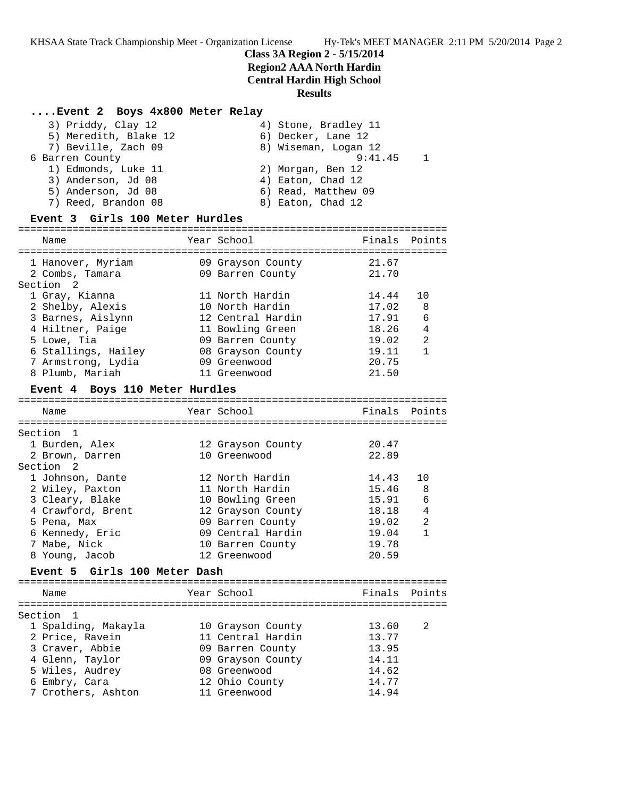# **Class 3A Region 2 - 5/15/2014 Region2 AAA North Hardin Central Hardin High School**

### **Results**

### **....Event 2 Boys 4x800 Meter Relay**

| 3) Priddy, Clay 12              | 4) Stone, Bradley 11 |                |
|---------------------------------|----------------------|----------------|
| 5) Meredith, Blake 12           | 6) Decker, Lane 12   |                |
| 7) Beville, Zach 09             | 8) Wiseman, Logan 12 |                |
| 6 Barren County                 | 9:41.45              | $\overline{1}$ |
| 1) Edmonds, Luke 11             | 2) Morgan, Ben 12    |                |
| 3) Anderson, Jd 08              | 4) Eaton, Chad 12    |                |
| 5) Anderson, Jd 08              | 6) Read, Matthew 09  |                |
| 7) Reed, Brandon 08             | 8) Eaton, Chad 12    |                |
| Event 3 Girls 100 Meter Hurdles |                      |                |

|                      |                  |                                                                                                                                                                                                                                                                                                                                                                                                                         | Finals Points                                                                                                                                                                                                                                                                          |
|----------------------|------------------|-------------------------------------------------------------------------------------------------------------------------------------------------------------------------------------------------------------------------------------------------------------------------------------------------------------------------------------------------------------------------------------------------------------------------|----------------------------------------------------------------------------------------------------------------------------------------------------------------------------------------------------------------------------------------------------------------------------------------|
|                      |                  |                                                                                                                                                                                                                                                                                                                                                                                                                         |                                                                                                                                                                                                                                                                                        |
|                      |                  |                                                                                                                                                                                                                                                                                                                                                                                                                         |                                                                                                                                                                                                                                                                                        |
|                      |                  |                                                                                                                                                                                                                                                                                                                                                                                                                         | 10                                                                                                                                                                                                                                                                                     |
|                      |                  |                                                                                                                                                                                                                                                                                                                                                                                                                         | 8                                                                                                                                                                                                                                                                                      |
|                      |                  |                                                                                                                                                                                                                                                                                                                                                                                                                         | 6                                                                                                                                                                                                                                                                                      |
|                      |                  |                                                                                                                                                                                                                                                                                                                                                                                                                         | $\overline{4}$                                                                                                                                                                                                                                                                         |
|                      |                  |                                                                                                                                                                                                                                                                                                                                                                                                                         | $\overline{2}$                                                                                                                                                                                                                                                                         |
|                      |                  |                                                                                                                                                                                                                                                                                                                                                                                                                         | $\mathbf{1}$                                                                                                                                                                                                                                                                           |
|                      |                  |                                                                                                                                                                                                                                                                                                                                                                                                                         |                                                                                                                                                                                                                                                                                        |
|                      |                  |                                                                                                                                                                                                                                                                                                                                                                                                                         |                                                                                                                                                                                                                                                                                        |
|                      |                  |                                                                                                                                                                                                                                                                                                                                                                                                                         |                                                                                                                                                                                                                                                                                        |
|                      |                  |                                                                                                                                                                                                                                                                                                                                                                                                                         |                                                                                                                                                                                                                                                                                        |
|                      |                  |                                                                                                                                                                                                                                                                                                                                                                                                                         |                                                                                                                                                                                                                                                                                        |
|                      |                  |                                                                                                                                                                                                                                                                                                                                                                                                                         | Points                                                                                                                                                                                                                                                                                 |
|                      |                  |                                                                                                                                                                                                                                                                                                                                                                                                                         |                                                                                                                                                                                                                                                                                        |
|                      |                  |                                                                                                                                                                                                                                                                                                                                                                                                                         |                                                                                                                                                                                                                                                                                        |
|                      |                  |                                                                                                                                                                                                                                                                                                                                                                                                                         |                                                                                                                                                                                                                                                                                        |
|                      |                  |                                                                                                                                                                                                                                                                                                                                                                                                                         |                                                                                                                                                                                                                                                                                        |
|                      |                  |                                                                                                                                                                                                                                                                                                                                                                                                                         |                                                                                                                                                                                                                                                                                        |
|                      |                  |                                                                                                                                                                                                                                                                                                                                                                                                                         | 10                                                                                                                                                                                                                                                                                     |
|                      |                  |                                                                                                                                                                                                                                                                                                                                                                                                                         | 8                                                                                                                                                                                                                                                                                      |
|                      |                  |                                                                                                                                                                                                                                                                                                                                                                                                                         | 6                                                                                                                                                                                                                                                                                      |
|                      |                  |                                                                                                                                                                                                                                                                                                                                                                                                                         | $\overline{4}$                                                                                                                                                                                                                                                                         |
|                      |                  |                                                                                                                                                                                                                                                                                                                                                                                                                         | $\overline{2}$                                                                                                                                                                                                                                                                         |
|                      |                  |                                                                                                                                                                                                                                                                                                                                                                                                                         | $\mathbf{1}$                                                                                                                                                                                                                                                                           |
|                      |                  |                                                                                                                                                                                                                                                                                                                                                                                                                         |                                                                                                                                                                                                                                                                                        |
|                      | 10 Barren County | 19.78                                                                                                                                                                                                                                                                                                                                                                                                                   |                                                                                                                                                                                                                                                                                        |
|                      | 12 Greenwood     | 20.59                                                                                                                                                                                                                                                                                                                                                                                                                   |                                                                                                                                                                                                                                                                                        |
| Girls 100 Meter Dash |                  |                                                                                                                                                                                                                                                                                                                                                                                                                         |                                                                                                                                                                                                                                                                                        |
|                      |                  | .==================================<br>Year School<br>09 Grayson County<br>09 Barren County<br>11 North Hardin<br>10 North Hardin<br>12 Central Hardin<br>11 Bowling Green<br>09 Barren County<br>09 Greenwood<br>11 Greenwood<br>Event 4 Boys 110 Meter Hurdles<br>Year School<br>12 Grayson County<br>10 Greenwood<br>12 North Hardin<br>11 North Hardin<br>10 Bowling Green<br>09 Barren County<br>09 Central Hardin | ======================================<br>21.67<br>21.70<br>14.44<br>17.02<br>17.91<br>18.26<br>19.02<br>08 Grayson County<br>19.11<br>20.75<br>21.50<br>:=====================<br>Finals<br>20.47<br>22.89<br>14.43<br>15.46<br>15.91<br>12 Grayson County<br>18.18<br>19.02<br>19.04 |

 Name Year School Finals Points =======================================================================

 1 Spalding, Makayla 10 Grayson County 13.60 2 2 Price, Ravein 11 Central Hardin 13.77 3 Craver, Abbie 09 Barren County 13.95 4 Glenn, Taylor 09 Grayson County 14.11 5 Wiles, Audrey 08 Greenwood 14.62 6 Embry, Cara 12 Ohio County 14.77 7 Crothers, Ashton 11 Greenwood 14.94

Section 1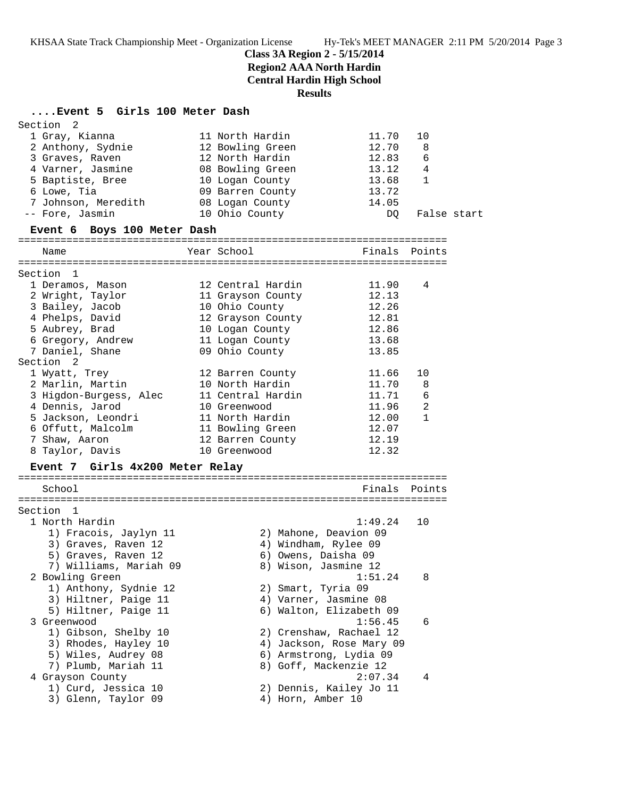**Class 3A Region 2 - 5/15/2014**

**Region2 AAA North Hardin**

**Central Hardin High School**

**Results**

# **....Event 5 Girls 100 Meter Dash**

| Section<br>2                    |                          |               |                |             |
|---------------------------------|--------------------------|---------------|----------------|-------------|
| 1 Gray, Kianna                  | 11 North Hardin          | 11.70         | 10             |             |
| 2 Anthony, Sydnie               | 12 Bowling Green         | 12.70         | 8              |             |
| 3 Graves, Raven                 | 12 North Hardin          | 12.83         | 6              |             |
| 4 Varner, Jasmine               | 08 Bowling Green         | 13.12         | 4              |             |
| 5 Baptiste, Bree                | 10 Logan County          | 13.68         | 1              |             |
| 6 Lowe, Tia                     | 09 Barren County         | 13.72         |                |             |
| 7 Johnson, Meredith             | 08 Logan County          | 14.05         |                |             |
| -- Fore, Jasmin                 | 10 Ohio County           | DQ.           |                | False start |
| Event 6 Boys 100 Meter Dash     |                          |               |                |             |
| Name                            | Year School              | Finals        | Points         |             |
|                                 |                          |               |                |             |
| Section 1                       |                          |               |                |             |
| 1 Deramos, Mason                | 12 Central Hardin        | 11.90         | 4              |             |
| 2 Wright, Taylor                | 11 Grayson County        | 12.13         |                |             |
| 3 Bailey, Jacob                 | 10 Ohio County           | 12.26         |                |             |
| 4 Phelps, David                 | 12 Grayson County        | 12.81         |                |             |
| 5 Aubrey, Brad                  | 10 Logan County          | 12.86         |                |             |
| 6 Gregory, Andrew               | 11 Logan County          | 13.68         |                |             |
| 7 Daniel, Shane                 | 09 Ohio County           | 13.85         |                |             |
| Section 2                       |                          |               |                |             |
| 1 Wyatt, Trey                   | 12 Barren County         | 11.66         | 10             |             |
| 2 Marlin, Martin                | 10 North Hardin          | 11.70         | 8              |             |
| 3 Higdon-Burgess, Alec          | 11 Central Hardin        | 11.71         | 6              |             |
| 4 Dennis, Jarod                 | 10 Greenwood             | 11.96         | $\overline{2}$ |             |
| 5 Jackson, Leondri              | 11 North Hardin          | 12.00         | 1              |             |
| 6 Offutt, Malcolm               | 11 Bowling Green         | 12.07         |                |             |
| 7 Shaw, Aaron                   | 12 Barren County         | 12.19         |                |             |
| 8 Taylor, Davis                 | 10 Greenwood             | 12.32         |                |             |
|                                 |                          |               |                |             |
| Event 7 Girls 4x200 Meter Relay |                          |               |                |             |
| School                          |                          | Finals Points |                |             |
|                                 |                          |               |                |             |
| Section 1                       |                          |               |                |             |
| 1 North Hardin                  |                          | 1:49.24       | 10             |             |
| 1) Fracois, Jaylyn 11           | 2) Mahone, Deavion 09    |               |                |             |
| 3) Graves, Raven 12             | 4) Windham, Rylee 09     |               |                |             |
| 5) Graves, Raven 12             | 6) Owens, Daisha 09      |               |                |             |
| 7) Williams, Mariah 09          | 8) Wison, Jasmine 12     |               |                |             |
| 2 Bowling Green                 |                          | 1:51.24       | 8              |             |
| 1) Anthony, Sydnie 12           | 2) Smart, Tyria 09       |               |                |             |
| 3) Hiltner, Paige 11            | 4) Varner, Jasmine 08    |               |                |             |
| 5) Hiltner, Paige 11            | 6) Walton, Elizabeth 09  |               |                |             |
| 3 Greenwood                     |                          | 1:56.45       | 6              |             |
| 1) Gibson, Shelby 10            | 2) Crenshaw, Rachael 12  |               |                |             |
| 3) Rhodes, Hayley 10            | 4) Jackson, Rose Mary 09 |               |                |             |
| 5) Wiles, Audrey 08             | 6) Armstrong, Lydia 09   |               |                |             |
| 7) Plumb, Mariah 11             | 8) Goff, Mackenzie 12    |               |                |             |
| 4 Grayson County                |                          | 2:07.34       | 4              |             |
| 1) Curd, Jessica 10             | 2) Dennis, Kailey Jo 11  |               |                |             |
| 3) Glenn, Taylor 09             | 4) Horn, Amber 10        |               |                |             |
|                                 |                          |               |                |             |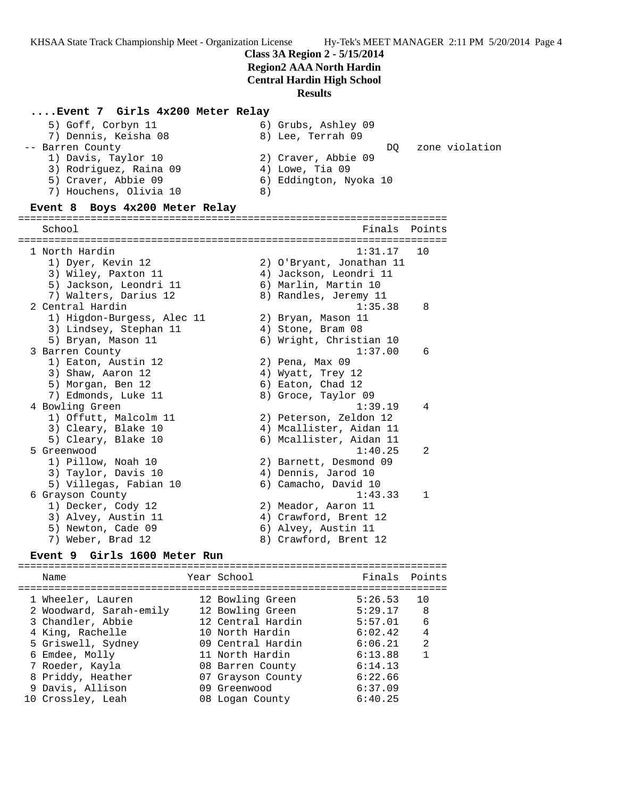### **Class 3A Region 2 - 5/15/2014**

## **Region2 AAA North Hardin**

**Central Hardin High School**

### **Results**

### **....Event 7 Girls 4x200 Meter Relay**

| 5) Goff, Corbyn 11<br>7) Dennis, Keisha 08 | 6) Grubs, Ashley 09<br>8) Lee, Terrah 09 |                |
|--------------------------------------------|------------------------------------------|----------------|
| -- Barren County                           | DO.                                      | zone violation |
| 1) Davis, Taylor 10                        | 2) Craver, Abbie 09                      |                |
| 3) Rodriguez, Raina 09                     | $4)$ Lowe, Tia 09                        |                |
| 5) Craver, Abbie 09                        | 6) Eddington, Nyoka 10                   |                |
| 7) Houchens, Olivia 10                     | 8)                                       |                |
|                                            |                                          |                |

### **Event 8 Boys 4x200 Meter Relay**

======================================================================= Finals Points ======================================================================= 1 North Hardin 1:31.17 10 1) Dyer, Kevin 12 2) O'Bryant, Jonathan 11 3) Wiley, Paxton 11 4) Jackson, Leondri 11 5) Jackson, Leondri 11 6) Marlin, Martin 10 7) Walters, Darius 12 8) Randles, Jeremy 11 2 Central Hardin 1:35.38 8 1) Higdon-Burgess, Alec 11 2) Bryan, Mason 11 3) Lindsey, Stephan 11 (4) Stone, Bram 08 5) Bryan, Mason 11 6) Wright, Christian 10 3 Barren County 1:37.00 6 1) Eaton, Austin 12 2) Pena, Max 09 3) Shaw, Aaron 12 4) Wyatt, Trey 12 5) Morgan, Ben 12 6) Eaton, Chad 12 7) Edmonds, Luke 11 and 8) Groce, Taylor 09 4 Bowling Green 1:39.19 4 1) Offutt, Malcolm 11 2) Peterson, Zeldon 12 3) Cleary, Blake 10 4) Mcallister, Aidan 11 5) Cleary, Blake 10 6) Mcallister, Aidan 11 5 Greenwood 1:40.25 2 1) Pillow, Noah 10 2) Barnett, Desmond 09 3) Taylor, Davis 10 4) Dennis, Jarod 10 5) Villegas, Fabian 10 6) Camacho, David 10 6 Grayson County 1:43.33 1 1) Decker, Cody 12 2) Meador, Aaron 11 3) Alvey, Austin 11 4) Crawford, Brent 12 5) Newton, Cade 09 6) Alvey, Austin 11 7) Weber, Brad 12 8) Crawford, Brent 12

### **Event 9 Girls 1600 Meter Run**

======================================================================= Name Tear School Tear School Finals Points ======================================================================= 1 Wheeler, Lauren 12 Bowling Green 5:26.53 10 2 Woodward, Sarah-emily 12 Bowling Green 5:29.17 8 3 Chandler, Abbie 12 Central Hardin 5:57.01 6 4 King, Rachelle 10 North Hardin 6:02.42 4 5 Griswell, Sydney 09 Central Hardin 6:06.21 2 6 Emdee, Molly 11 North Hardin 6:13.88 1 7 Roeder, Kayla 08 Barren County 6:14.13 8 Priddy, Heather 07 Grayson County 6:22.66 9 Davis, Allison 09 Greenwood 6:37.09 10 Crossley, Leah 08 Logan County 6:40.25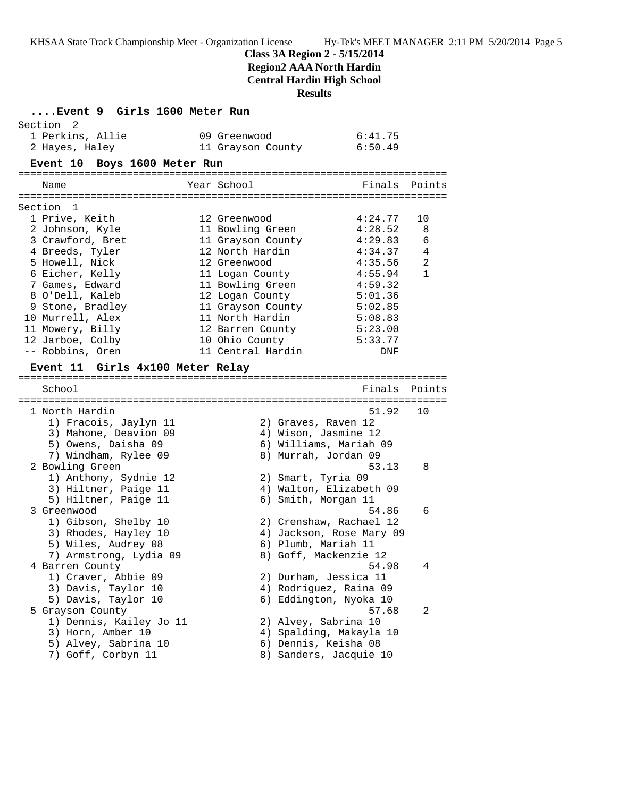**Class 3A Region 2 - 5/15/2014**

**Region2 AAA North Hardin**

**Central Hardin High School**

**Results**

| Event 9 Girls 1600 Meter Run               |                                   |               |                |
|--------------------------------------------|-----------------------------------|---------------|----------------|
| Section<br>2                               |                                   | 6:41.75       |                |
| 1 Perkins, Allie<br>2 Hayes, Haley         | 09 Greenwood<br>11 Grayson County | 6:50.49       |                |
|                                            |                                   |               |                |
| Event 10 Boys 1600 Meter Run               |                                   |               |                |
| Name                                       | Year School                       | Finals Points |                |
|                                            |                                   |               |                |
| Section 1<br>1 Prive, Keith                | 12 Greenwood                      | 4:24.77       | 10             |
| 2 Johnson, Kyle                            | 11 Bowling Green                  | 4:28.52       | 8              |
| 3 Crawford, Bret                           | 11 Grayson County                 | 4:29.83       | 6              |
| 4 Breeds, Tyler                            | 12 North Hardin                   | 4:34.37       | 4              |
| 5 Howell, Nick                             | 12 Greenwood                      | 4:35.56       | $\overline{a}$ |
| 6 Eicher, Kelly                            | 11 Logan County                   | 4:55.94       | $\mathbf{1}$   |
| 7 Games, Edward                            | 11 Bowling Green                  | 4:59.32       |                |
| 8 O'Dell, Kaleb                            | 12 Logan County                   | 5:01.36       |                |
| 9 Stone, Bradley                           | 11 Grayson County                 | 5:02.85       |                |
| 10 Murrell, Alex                           | 11 North Hardin                   | 5:08.83       |                |
| 11 Mowery, Billy                           | 12 Barren County                  | 5:23.00       |                |
| 12 Jarboe, Colby                           | 10 Ohio County                    | 5:33.77       |                |
| -- Robbins, Oren                           | 11 Central Hardin                 | DNF           |                |
|                                            |                                   |               |                |
| Event 11 Girls 4x100 Meter Relay           |                                   |               |                |
| School                                     |                                   | Finals        | Points         |
|                                            |                                   |               |                |
| 1 North Hardin                             |                                   | 51.92         | 10             |
| 1) Fracois, Jaylyn 11                      | 2) Graves, Raven 12               |               |                |
| 3) Mahone, Deavion 09                      | 4) Wison, Jasmine 12              |               |                |
| 5) Owens, Daisha 09                        | 6) Williams, Mariah 09            |               |                |
| 7) Windham, Rylee 09                       | 8) Murrah, Jordan 09              |               |                |
| 2 Bowling Green                            |                                   | 53.13         | 8              |
| 1) Anthony, Sydnie 12                      | 2) Smart, Tyria 09                |               |                |
| 3) Hiltner, Paige 11                       | 4) Walton, Elizabeth 09           |               |                |
| 5) Hiltner, Paige 11                       | 6) Smith, Morgan 11               |               |                |
| 3 Greenwood                                |                                   | 54.86         | 6              |
| 1) Gibson, Shelby 10                       | 2) Crenshaw, Rachael 12           |               |                |
| 3) Rhodes, Hayley 10                       | 4) Jackson, Rose Mary 09          |               |                |
| 5) Wiles, Audrey 08                        | 6) Plumb, Mariah 11               |               |                |
| 7) Armstrong, Lydia 09                     | 8) Goff, Mackenzie 12             | 54.98         | 4              |
| 4 Barren County                            | 2) Durham, Jessica 11             |               |                |
| 1) Craver, Abbie 09<br>3) Davis, Taylor 10 | 4) Rodriguez, Raina 09            |               |                |
| 5) Davis, Taylor 10                        | 6) Eddington, Nyoka 10            |               |                |
| 5 Grayson County                           |                                   | 57.68         | 2              |
| 1) Dennis, Kailey Jo 11                    | 2) Alvey, Sabrina 10              |               |                |
| 3) Horn, Amber 10                          | 4) Spalding, Makayla 10           |               |                |
| 5) Alvey, Sabrina 10                       | 6) Dennis, Keisha 08              |               |                |
| 7) Goff, Corbyn 11                         | 8) Sanders, Jacquie 10            |               |                |
|                                            |                                   |               |                |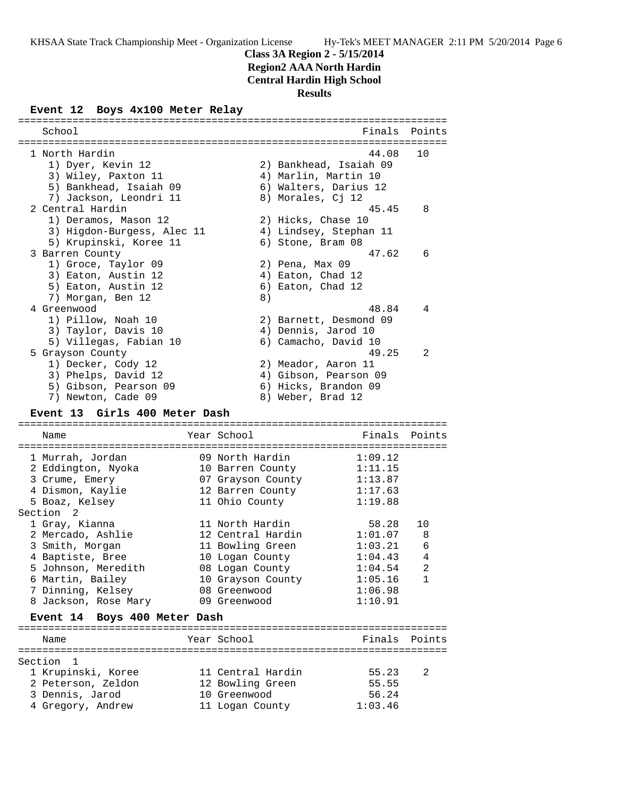**Class 3A Region 2 - 5/15/2014**

**Region2 AAA North Hardin**

**Central Hardin High School**

**Results**

# **Event 12 Boys 4x100 Meter Relay**

| School                        |                   | Finals                       | Points         |
|-------------------------------|-------------------|------------------------------|----------------|
| 1 North Hardin                |                   | 44.08                        | 10             |
| 1) Dyer, Kevin 12             |                   | 2) Bankhead, Isaiah 09       |                |
|                               |                   |                              |                |
| 3) Wiley, Paxton 11           |                   | 4) Marlin, Martin 10         |                |
| 5) Bankhead, Isaiah 09        |                   | 6) Walters, Darius 12        |                |
| 7) Jackson, Leondri 11        |                   | 8) Morales, Cj 12            |                |
| 2 Central Hardin              |                   | 45.45                        | 8              |
| 1) Deramos, Mason 12          |                   | 2) Hicks, Chase 10           |                |
| 3) Higdon-Burgess, Alec 11    |                   | 4) Lindsey, Stephan 11       |                |
| 5) Krupinski, Koree 11        |                   | 6) Stone, Bram 08            |                |
| 3 Barren County               |                   | 47.62                        | 6              |
| 1) Groce, Taylor 09           |                   | 2) Pena, Max 09              |                |
| 3) Eaton, Austin 12           |                   | 4) Eaton, Chad 12            |                |
| 5) Eaton, Austin 12           |                   | 6) Eaton, Chad 12            |                |
| 7) Morgan, Ben 12             | 8)                |                              |                |
| 4 Greenwood                   |                   | 48.84                        | 4              |
| 1) Pillow, Noah 10            |                   | 2) Barnett, Desmond 09       |                |
| 3) Taylor, Davis 10           |                   | 4) Dennis, Jarod 10          |                |
| 5) Villegas, Fabian 10        |                   | 6) Camacho, David 10         |                |
| 5 Grayson County              |                   | 49.25                        | 2              |
| 1) Decker, Cody 12            |                   | 2) Meador, Aaron 11          |                |
|                               |                   |                              |                |
| 3) Phelps, David 12           |                   | 4) Gibson, Pearson 09        |                |
| 5) Gibson, Pearson 09         |                   | 6) Hicks, Brandon 09         |                |
| 7) Newton, Cade 09            |                   | 8) Weber, Brad 12            |                |
| Event 13 Girls 400 Meter Dash |                   |                              |                |
|                               |                   |                              |                |
| Name                          | Year School       | Finals                       | Points         |
|                               |                   |                              |                |
| 1 Murrah, Jordan              | 09 North Hardin   | 1:09.12                      |                |
| 2 Eddington, Nyoka            | 10 Barren County  | 1:11.15                      |                |
| 3 Crume, Emery                |                   | 07 Grayson County<br>1:13.87 |                |
| 4 Dismon, Kaylie              |                   | 12 Barren County<br>1:17.63  |                |
| 5 Boaz, Kelsey                | 11 Ohio County    | 1:19.88                      |                |
| Section<br>2                  |                   |                              |                |
| 1 Gray, Kianna                | 11 North Hardin   | 58.28                        | 10             |
| 2 Mercado, Ashlie             | 12 Central Hardin | 1:01.07                      | 8              |
| 3 Smith, Morgan               | 11 Bowling Green  | 1:03.21                      | 6              |
| 4 Baptiste, Bree              | 10 Logan County   | 1:04.43                      | 4              |
| 5 Johnson, Meredith           | 08 Logan County   | 1:04.54                      | $\overline{c}$ |
| 6 Martin, Bailey              | 10 Grayson County | 1:05.16                      | 1              |
| 7 Dinning, Kelsey             | 08 Greenwood      | 1:06.98                      |                |
| 8 Jackson, Rose Mary          | 09 Greenwood      | 1:10.91                      |                |
|                               |                   |                              |                |
| Event 14 Boys 400 Meter Dash  |                   |                              |                |
| Name                          | Year School       | Finals                       | Points         |
|                               |                   |                              |                |
| Section<br>1                  |                   |                              |                |
| 1 Krupinski, Koree            | 11 Central Hardin | 55.23                        | 2              |
| 2 Peterson, Zeldon            | 12 Bowling Green  | 55.55                        |                |
|                               |                   |                              |                |
| 3 Dennis, Jarod               | 10 Greenwood      | 56.24                        |                |
| 4 Gregory, Andrew             | 11 Logan County   | 1:03.46                      |                |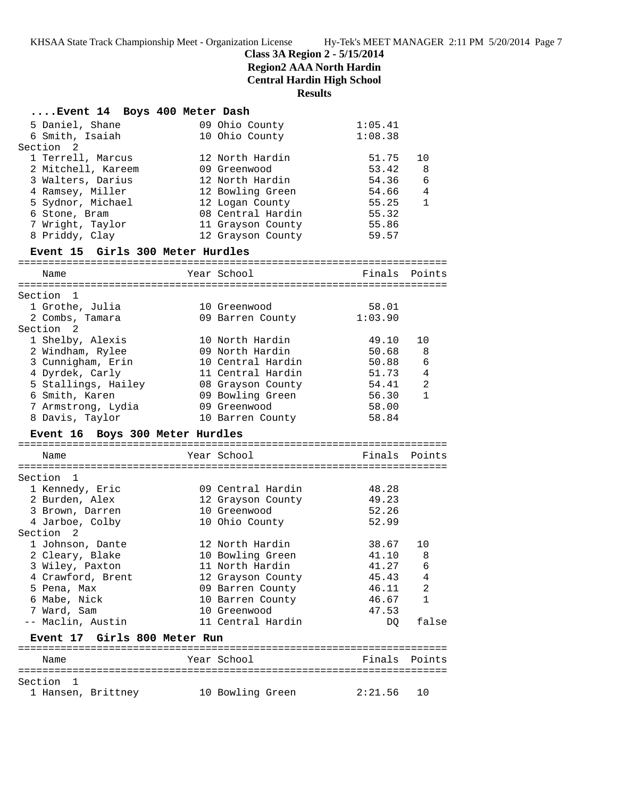# **Class 3A Region 2 - 5/15/2014**

**Region2 AAA North Hardin**

**Central Hardin High School**

**Results**

| Event 14 Boys 400 Meter Dash            |                                        |                |                   |
|-----------------------------------------|----------------------------------------|----------------|-------------------|
| 5 Daniel, Shane                         | 09 Ohio County                         | 1:05.41        |                   |
| 6 Smith, Isaiah                         | 10 Ohio County                         | 1:08.38        |                   |
| Section 2                               |                                        |                |                   |
| 1 Terrell, Marcus                       | 12 North Hardin                        | 51.75          | 10                |
| 2 Mitchell, Kareem                      | 09 Greenwood                           | 53.42          | 8                 |
| 3 Walters, Darius                       | 12 North Hardin                        | 54.36          | 6                 |
| 4 Ramsey, Miller                        | 12 Bowling Green                       | 54.66          | 4<br>$\mathbf{1}$ |
| 5 Sydnor, Michael                       | 12 Logan County<br>08 Central Hardin   | 55.25          |                   |
| 6 Stone, Bram                           |                                        | 55.32          |                   |
| 7 Wright, Taylor<br>8 Priddy, Clay      | 11 Grayson County<br>12 Grayson County | 55.86<br>59.57 |                   |
|                                         |                                        |                |                   |
| Event 15 Girls 300 Meter Hurdles        |                                        |                |                   |
| Name                                    | Year School                            | Finals         | Points            |
|                                         |                                        |                |                   |
| Section 1                               |                                        |                |                   |
| 1 Grothe, Julia                         | 10 Greenwood                           | 58.01          |                   |
| 2 Combs, Tamara<br>Section <sub>2</sub> | 09 Barren County                       | 1:03.90        |                   |
|                                         |                                        |                |                   |
| 1 Shelby, Alexis                        | 10 North Hardin<br>09 North Hardin     | 49.10<br>50.68 | 10                |
| 2 Windham, Rylee<br>3 Cunnigham, Erin   | 10 Central Hardin                      | 50.88          | 8<br>6            |
| 4 Dyrdek, Carly                         | 11 Central Hardin                      | 51.73          | $\overline{4}$    |
| 5 Stallings, Hailey                     | 08 Grayson County                      | 54.41          | 2                 |
| 6 Smith, Karen                          | 09 Bowling Green                       | 56.30          | $\mathbf{1}$      |
| 7 Armstrong, Lydia                      | 09 Greenwood                           | 58.00          |                   |
| 8 Davis, Taylor                         | 10 Barren County                       | 58.84          |                   |
| Event 16 Boys 300 Meter Hurdles         |                                        |                |                   |
|                                         |                                        |                |                   |
| Name                                    | Year School                            | Finals         | Points            |
| Section<br>$\mathbf{1}$                 |                                        |                |                   |
| 1 Kennedy, Eric                         | 09 Central Hardin                      | 48.28          |                   |
| 2 Burden, Alex                          | 12 Grayson County                      | 49.23          |                   |
| 3 Brown, Darren                         | 10 Greenwood                           | 52.26          |                   |
| 4 Jarboe, Colby                         | 10 Ohio County                         | 52.99          |                   |
| Section 2                               |                                        |                |                   |
| 1 Johnson, Dante                        | 12 North Hardin                        | 38.67          | 10                |
| 2 Cleary, Blake                         | 10 Bowling Green                       | 41.10          | 8                 |
| 3 Wiley, Paxton                         | 11 North Hardin                        | 41.27          | 6                 |
| 4 Crawford, Brent                       | 12 Grayson County                      | 45.43          | 4                 |
| 5 Pena, Max                             | 09 Barren County                       | 46.11          | 2                 |
| 6 Mabe, Nick                            | 10 Barren County                       | 46.67          | 1                 |
| 7 Ward, Sam                             | 10 Greenwood                           | 47.53          |                   |
| -- Maclin, Austin                       | 11 Central Hardin                      | DQ             | false             |
| Event 17 Girls 800 Meter Run            |                                        |                |                   |
|                                         |                                        |                |                   |
| Name                                    | Year School                            | Finals         | Points            |
| Section 1                               |                                        |                |                   |
|                                         |                                        |                |                   |
| 1 Hansen, Brittney                      | 10 Bowling Green                       | 2:21.56        | 10                |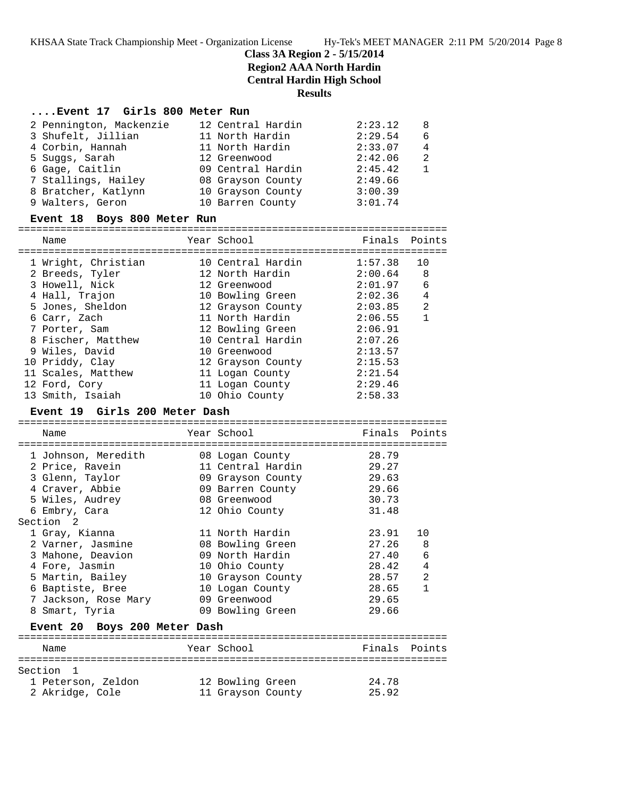**Class 3A Region 2 - 5/15/2014**

**Region2 AAA North Hardin**

**Central Hardin High School**

### **Results**

### **....Event 17 Girls 800 Meter Run**

| 2 Pennington, Mackenzie | 12 Central Hardin | 2:23.12 | -8             |
|-------------------------|-------------------|---------|----------------|
| 3 Shufelt, Jillian      | 11 North Hardin   | 2:29.54 | 6              |
| 4 Corbin, Hannah        | 11 North Hardin   | 2:33.07 | $\overline{4}$ |
| 5 Suggs, Sarah          | 12 Greenwood      | 2:42.06 | $\overline{2}$ |
| 6 Gage, Caitlin         | 09 Central Hardin | 2:45.42 |                |
| 7 Stallings, Hailey     | 08 Grayson County | 2:49.66 |                |
| 8 Bratcher, Katlynn     | 10 Grayson County | 3:00.39 |                |
| 9 Walters, Geron        | 10 Barren County  | 3:01.74 |                |

### **Event 18 Boys 800 Meter Run**

=======================================================================

| Name                | Year School       | Finals      | Points       |
|---------------------|-------------------|-------------|--------------|
| 1 Wright, Christian | 10 Central Hardin | 1:57.38     | 10           |
| 2 Breeds, Tyler     | 12 North Hardin   | $2:00.64$ 8 |              |
| 3 Howell, Nick      | 12 Greenwood      | 2:01.97     | 6            |
| 4 Hall, Trajon      | 10 Bowling Green  | 2:02.36     | 4            |
| 5 Jones, Sheldon    | 12 Grayson County | 2:03.85     | 2            |
| 6 Carr, Zach        | 11 North Hardin   | 2:06.55     | $\mathbf{1}$ |
| 7 Porter, Sam       | 12 Bowling Green  | 2:06.91     |              |
| 8 Fischer, Matthew  | 10 Central Hardin | 2:07.26     |              |
| 9 Wiles, David      | 10 Greenwood      | 2:13.57     |              |
| 10 Priddy, Clay     | 12 Grayson County | 2:15.53     |              |
| 11 Scales, Matthew  | 11 Logan County   | 2:21.54     |              |
| 12 Ford, Cory       | 11 Logan County   | 2:29.46     |              |
| 13 Smith, Isaiah    | 10 Ohio County    | 2:58.33     |              |

#### **Event 19 Girls 200 Meter Dash**

======================================================================= Name Year School Finals Points ======================================================================= 1 Johnson, Meredith 08 Logan County 28.79 2 Price, Ravein 11 Central Hardin 29.27 3 Glenn, Taylor 09 Grayson County 29.63 4 Craver, Abbie 09 Barren County 29.66 5 Wiles, Audrey 08 Greenwood 30.73 6 Embry, Cara 12 Ohio County 31.48 Section 2 1 Gray, Kianna 11 North Hardin 23.91 10 2 Varner, Jasmine 08 Bowling Green 27.26 8 3 Mahone, Deavion 09 North Hardin 27.40 6 4 Fore, Jasmin 10 Ohio County 28.42 4 5 Martin, Bailey 10 Grayson County 28.57 2 6 Baptiste, Bree 10 Logan County 28.65 1 7 Jackson, Rose Mary 09 Greenwood 29.65 8 Smart, Tyria 09 Bowling Green 29.66 **Event 20 Boys 200 Meter Dash** ======================================================================= Name Year School ======================================================================= Section 1 1 Peterson, Zeldon 12 Bowling Green 24.78

2 Akridge, Cole 11 Grayson County 25.92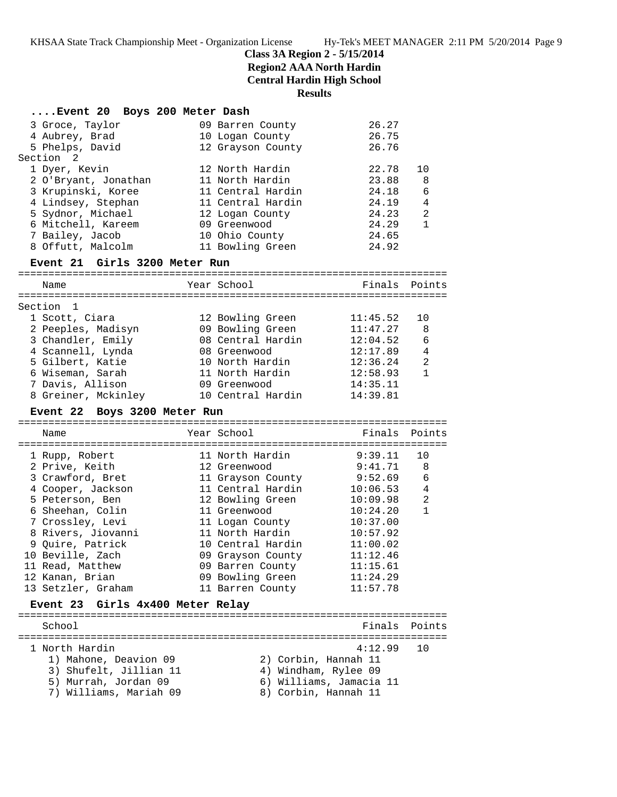**Class 3A Region 2 - 5/15/2014**

**Region2 AAA North Hardin**

**Central Hardin High School**

# **Results**

| Event 20 Boys 200 Meter Dash                   |                      |                         |                |
|------------------------------------------------|----------------------|-------------------------|----------------|
| 3 Groce, Taylor                                | 09 Barren County     | 26.27                   |                |
| 4 Aubrey, Brad                                 | 10 Logan County      | 26.75                   |                |
| 5 Phelps, David                                | 12 Grayson County    | 26.76                   |                |
| Section <sub>2</sub>                           |                      |                         |                |
| 1 Dyer, Kevin                                  | 12 North Hardin      | 22.78                   | 10             |
| 2 O'Bryant, Jonathan                           | 11 North Hardin      | 23.88                   | 8              |
| 3 Krupinski, Koree                             | 11 Central Hardin    | 24.18                   | 6              |
| 4 Lindsey, Stephan                             | 11 Central Hardin    | 24.19                   | 4              |
| 5 Sydnor, Michael                              | 12 Logan County      | 24.23                   | $\overline{a}$ |
| 6 Mitchell, Kareem                             | 09 Greenwood         | 24.29                   | $\mathbf{1}$   |
| 7 Bailey, Jacob                                | 10 Ohio County       | 24.65                   |                |
| 8 Offutt, Malcolm                              | 11 Bowling Green     | 24.92                   |                |
| Event 21 Girls 3200 Meter Run                  |                      |                         |                |
| Name                                           | Year School          | Finals                  | Points         |
|                                                |                      |                         |                |
| Section 1                                      |                      |                         |                |
| 1 Scott, Ciara                                 | 12 Bowling Green     | 11:45.52                | 10             |
| 2 Peeples, Madisyn                             | 09 Bowling Green     | 11:47.27                | 8              |
| 3 Chandler, Emily                              | 08 Central Hardin    | 12:04.52                | 6              |
| 4 Scannell, Lynda                              | 08 Greenwood         | 12:17.89                | 4              |
| 5 Gilbert, Katie                               | 10 North Hardin      | 12:36.24                | 2              |
| 6 Wiseman, Sarah                               | 11 North Hardin      | 12:58.93                | $\mathbf{1}$   |
| 7 Davis, Allison                               | 09 Greenwood         | 14:35.11                |                |
| 8 Greiner, Mckinley                            | 10 Central Hardin    | 14:39.81                |                |
|                                                |                      |                         |                |
| Event 22 Boys 3200 Meter Run                   |                      |                         |                |
| Name                                           | Year School          | Finals                  | Points         |
|                                                |                      |                         |                |
|                                                | 11 North Hardin      | 9:39.11                 | 10             |
| 1 Rupp, Robert<br>2 Prive, Keith               | 12 Greenwood         | 9:41.71                 | 8              |
| 3 Crawford, Bret                               | 11 Grayson County    | 9:52.69                 | 6              |
| 4 Cooper, Jackson                              | 11 Central Hardin    | 10:06.53                | 4              |
| 5 Peterson, Ben                                | 12 Bowling Green     | 10:09.98                | 2              |
| 6 Sheehan, Colin                               | 11 Greenwood         | 10:24.20                | $\mathbf{1}$   |
| 7 Crossley, Levi                               | 11 Logan County      | 10:37.00                |                |
| 8 Rivers, Jiovanni                             | 11 North Hardin      | 10:57.92                |                |
| 9 Quire, Patrick                               | 10 Central Hardin    | 11:00.02                |                |
| 10 Beville, Zach                               | 09 Grayson County    | 11:12.46                |                |
| 11 Read, Matthew                               | 09 Barren County     | 11:15.61                |                |
| 12 Kanan, Brian                                | 09 Bowling Green     | 11:24.29                |                |
| 13 Setzler, Graham                             | 11 Barren County     | 11:57.78                |                |
| Event 23 Girls 4x400 Meter Relay               |                      |                         |                |
| School                                         |                      | Finals                  |                |
|                                                |                      |                         | Points         |
| 1 North Hardin                                 |                      | 4:12.99                 | 10             |
| 1) Mahone, Deavion 09                          | 2) Corbin, Hannah 11 |                         |                |
| 3) Shufelt, Jillian 11                         | 4) Windham, Rylee 09 |                         |                |
| 5) Murrah, Jordan 09<br>7) Williams, Mariah 09 | 8) Corbin, Hannah 11 | 6) Williams, Jamacia 11 |                |